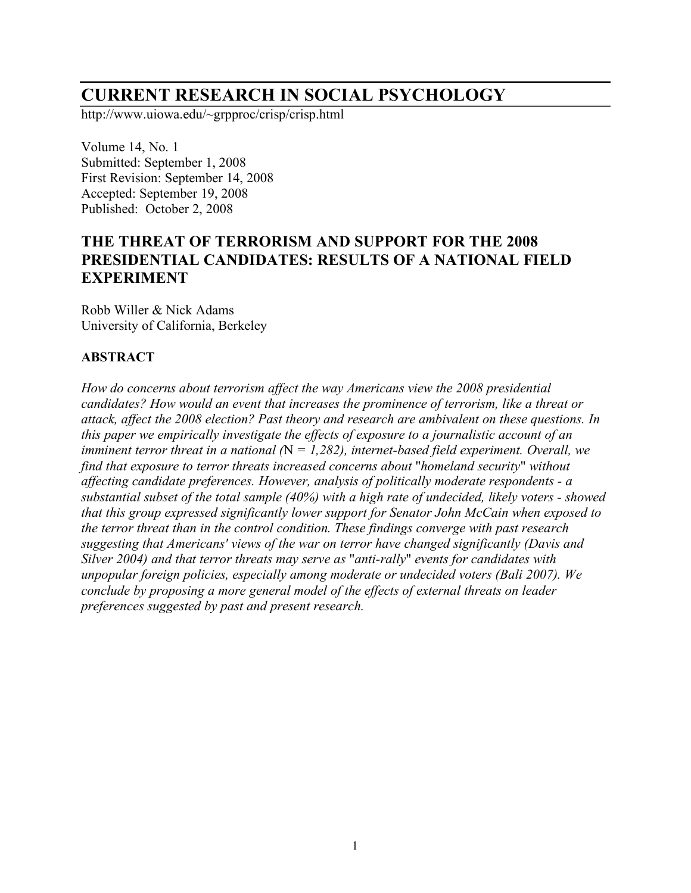# **CURRENT RESEARCH IN SOCIAL PSYCHOLOGY**

http://www.uiowa.edu/~grpproc/crisp/crisp.html

Volume 14, No. 1 Submitted: September 1, 2008 First Revision: September 14, 2008 Accepted: September 19, 2008 Published: October 2, 2008

# **THE THREAT OF TERRORISM AND SUPPORT FOR THE 2008 PRESIDENTIAL CANDIDATES: RESULTS OF A NATIONAL FIELD EXPERIMENT**

Robb Willer & Nick Adams University of California, Berkeley

# **ABSTRACT**

*How do concerns about terrorism affect the way Americans view the 2008 presidential candidates? How would an event that increases the prominence of terrorism, like a threat or attack, affect the 2008 election? Past theory and research are ambivalent on these questions. In this paper we empirically investigate the effects of exposure to a journalistic account of an imminent terror threat in a national (*N *= 1,282), internet-based field experiment. Overall, we find that exposure to terror threats increased concerns about* "*homeland security*" *without affecting candidate preferences. However, analysis of politically moderate respondents - a substantial subset of the total sample (40%) with a high rate of undecided, likely voters - showed that this group expressed significantly lower support for Senator John McCain when exposed to the terror threat than in the control condition. These findings converge with past research suggesting that Americans' views of the war on terror have changed significantly (Davis and Silver 2004) and that terror threats may serve as* "*anti-rally*" *events for candidates with unpopular foreign policies, especially among moderate or undecided voters (Bali 2007). We conclude by proposing a more general model of the effects of external threats on leader preferences suggested by past and present research.*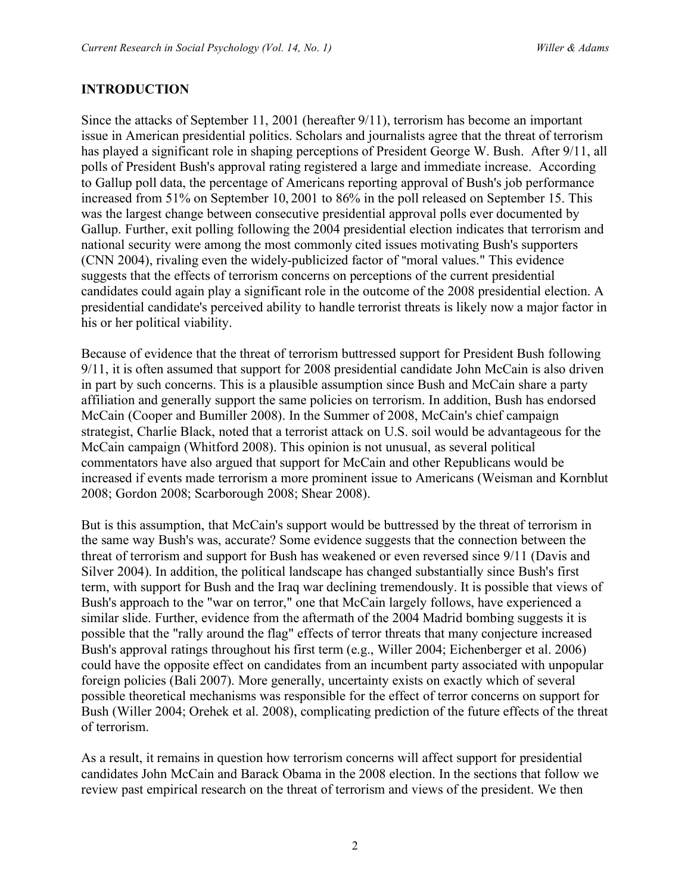# **INTRODUCTION**

Since the attacks of September 11, 2001 (hereafter 9/11), terrorism has become an important issue in American presidential politics. Scholars and journalists agree that the threat of terrorism has played a significant role in shaping perceptions of President George W. Bush. After 9/11, all polls of President Bush's approval rating registered a large and immediate increase. According to Gallup poll data, the percentage of Americans reporting approval of Bush's job performance increased from 51% on September 10, 2001 to 86% in the poll released on September 15. This was the largest change between consecutive presidential approval polls ever documented by Gallup. Further, exit polling following the 2004 presidential election indicates that terrorism and national security were among the most commonly cited issues motivating Bush's supporters (CNN 2004), rivaling even the widely-publicized factor of "moral values." This evidence suggests that the effects of terrorism concerns on perceptions of the current presidential candidates could again play a significant role in the outcome of the 2008 presidential election. A presidential candidate's perceived ability to handle terrorist threats is likely now a major factor in his or her political viability.

Because of evidence that the threat of terrorism buttressed support for President Bush following 9/11, it is often assumed that support for 2008 presidential candidate John McCain is also driven in part by such concerns. This is a plausible assumption since Bush and McCain share a party affiliation and generally support the same policies on terrorism. In addition, Bush has endorsed McCain (Cooper and Bumiller 2008). In the Summer of 2008, McCain's chief campaign strategist, Charlie Black, noted that a terrorist attack on U.S. soil would be advantageous for the McCain campaign (Whitford 2008). This opinion is not unusual, as several political commentators have also argued that support for McCain and other Republicans would be increased if events made terrorism a more prominent issue to Americans (Weisman and Kornblut 2008; Gordon 2008; Scarborough 2008; Shear 2008).

But is this assumption, that McCain's support would be buttressed by the threat of terrorism in the same way Bush's was, accurate? Some evidence suggests that the connection between the threat of terrorism and support for Bush has weakened or even reversed since 9/11 (Davis and Silver 2004). In addition, the political landscape has changed substantially since Bush's first term, with support for Bush and the Iraq war declining tremendously. It is possible that views of Bush's approach to the "war on terror," one that McCain largely follows, have experienced a similar slide. Further, evidence from the aftermath of the 2004 Madrid bombing suggests it is possible that the "rally around the flag" effects of terror threats that many conjecture increased Bush's approval ratings throughout his first term (e.g., Willer 2004; Eichenberger et al. 2006) could have the opposite effect on candidates from an incumbent party associated with unpopular foreign policies (Bali 2007). More generally, uncertainty exists on exactly which of several possible theoretical mechanisms was responsible for the effect of terror concerns on support for Bush (Willer 2004; Orehek et al. 2008), complicating prediction of the future effects of the threat of terrorism.

As a result, it remains in question how terrorism concerns will affect support for presidential candidates John McCain and Barack Obama in the 2008 election. In the sections that follow we review past empirical research on the threat of terrorism and views of the president. We then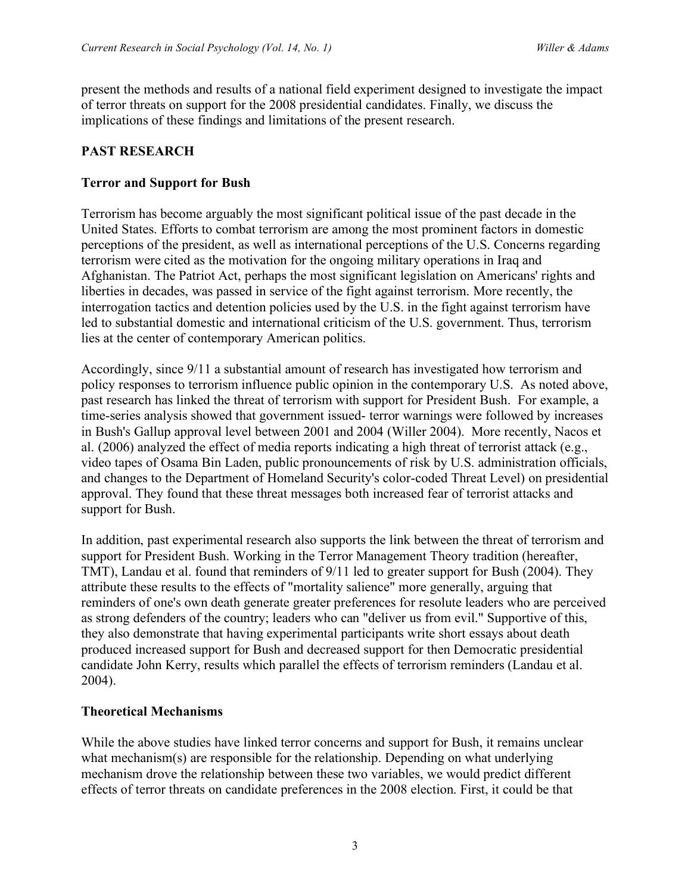present the methods and results of a national field experiment designed to investigate the impact of terror threats on support for the 2008 presidential candidates. Finally, we discuss the implications of these findings and limitations of the present research.

# **PAST RESEARCH**

# **Terror and Support for Bush**

Terrorism has become arguably the most significant political issue of the past decade in the United States. Efforts to combat terrorism are among the most prominent factors in domestic perceptions of the president, as well as international perceptions of the U.S. Concerns regarding terrorism were cited as the motivation for the ongoing military operations in Iraq and Afghanistan. The Patriot Act, perhaps the most significant legislation on Americans' rights and liberties in decades, was passed in service of the fight against terrorism. More recently, the interrogation tactics and detention policies used by the U.S. in the fight against terrorism have led to substantial domestic and international criticism of the U.S. government. Thus, terrorism lies at the center of contemporary American politics.

Accordingly, since 9/11 a substantial amount of research has investigated how terrorism and policy responses to terrorism influence public opinion in the contemporary U.S. As noted above, past research has linked the threat of terrorism with support for President Bush. For example, a time-series analysis showed that government issued- terror warnings were followed by increases in Bush's Gallup approval level between 2001 and 2004 (Willer 2004). More recently, Nacos et al. (2006) analyzed the effect of media reports indicating a high threat of terrorist attack (e.g., video tapes of Osama Bin Laden, public pronouncements of risk by U.S. administration officials, and changes to the Department of Homeland Security's color-coded Threat Level) on presidential approval. They found that these threat messages both increased fear of terrorist attacks and support for Bush.

In addition, past experimental research also supports the link between the threat of terrorism and support for President Bush. Working in the Terror Management Theory tradition (hereafter, TMT), Landau et al. found that reminders of 9/11 led to greater support for Bush (2004). They attribute these results to the effects of "mortality salience" more generally, arguing that reminders of one's own death generate greater preferences for resolute leaders who are perceived as strong defenders of the country; leaders who can "deliver us from evil." Supportive of this, they also demonstrate that having experimental participants write short essays about death produced increased support for Bush and decreased support for then Democratic presidential candidate John Kerry, results which parallel the effects of terrorism reminders (Landau et al. 2004).

#### **Theoretical Mechanisms**

While the above studies have linked terror concerns and support for Bush, it remains unclear what mechanism(s) are responsible for the relationship. Depending on what underlying mechanism drove the relationship between these two variables, we would predict different effects of terror threats on candidate preferences in the 2008 election. First, it could be that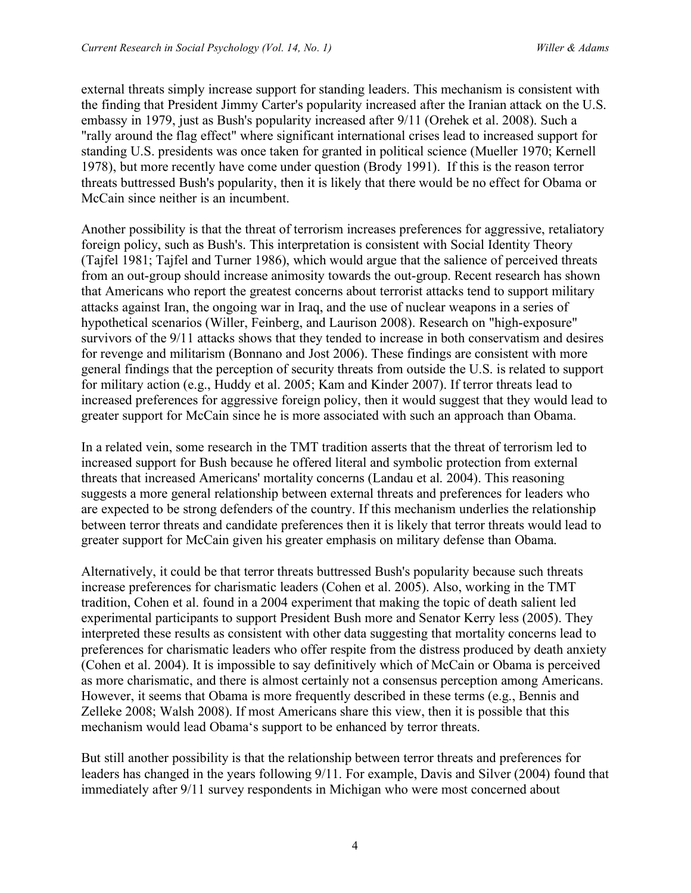external threats simply increase support for standing leaders. This mechanism is consistent with the finding that President Jimmy Carter's popularity increased after the Iranian attack on the U.S. embassy in 1979, just as Bush's popularity increased after 9/11 (Orehek et al. 2008). Such a "rally around the flag effect" where significant international crises lead to increased support for standing U.S. presidents was once taken for granted in political science (Mueller 1970; Kernell 1978), but more recently have come under question (Brody 1991). If this is the reason terror threats buttressed Bush's popularity, then it is likely that there would be no effect for Obama or McCain since neither is an incumbent.

Another possibility is that the threat of terrorism increases preferences for aggressive, retaliatory foreign policy, such as Bush's. This interpretation is consistent with Social Identity Theory (Tajfel 1981; Tajfel and Turner 1986), which would argue that the salience of perceived threats from an out-group should increase animosity towards the out-group. Recent research has shown that Americans who report the greatest concerns about terrorist attacks tend to support military attacks against Iran, the ongoing war in Iraq, and the use of nuclear weapons in a series of hypothetical scenarios (Willer, Feinberg, and Laurison 2008). Research on "high-exposure" survivors of the 9/11 attacks shows that they tended to increase in both conservatism and desires for revenge and militarism (Bonnano and Jost 2006). These findings are consistent with more general findings that the perception of security threats from outside the U.S. is related to support for military action (e.g., Huddy et al. 2005; Kam and Kinder 2007). If terror threats lead to increased preferences for aggressive foreign policy, then it would suggest that they would lead to greater support for McCain since he is more associated with such an approach than Obama.

In a related vein, some research in the TMT tradition asserts that the threat of terrorism led to increased support for Bush because he offered literal and symbolic protection from external threats that increased Americans' mortality concerns (Landau et al. 2004). This reasoning suggests a more general relationship between external threats and preferences for leaders who are expected to be strong defenders of the country. If this mechanism underlies the relationship between terror threats and candidate preferences then it is likely that terror threats would lead to greater support for McCain given his greater emphasis on military defense than Obama.

Alternatively, it could be that terror threats buttressed Bush's popularity because such threats increase preferences for charismatic leaders (Cohen et al. 2005). Also, working in the TMT tradition, Cohen et al. found in a 2004 experiment that making the topic of death salient led experimental participants to support President Bush more and Senator Kerry less (2005). They interpreted these results as consistent with other data suggesting that mortality concerns lead to preferences for charismatic leaders who offer respite from the distress produced by death anxiety (Cohen et al. 2004). It is impossible to say definitively which of McCain or Obama is perceived as more charismatic, and there is almost certainly not a consensus perception among Americans. However, it seems that Obama is more frequently described in these terms (e.g., Bennis and Zelleke 2008; Walsh 2008). If most Americans share this view, then it is possible that this mechanism would lead Obama's support to be enhanced by terror threats.

But still another possibility is that the relationship between terror threats and preferences for leaders has changed in the years following 9/11. For example, Davis and Silver (2004) found that immediately after 9/11 survey respondents in Michigan who were most concerned about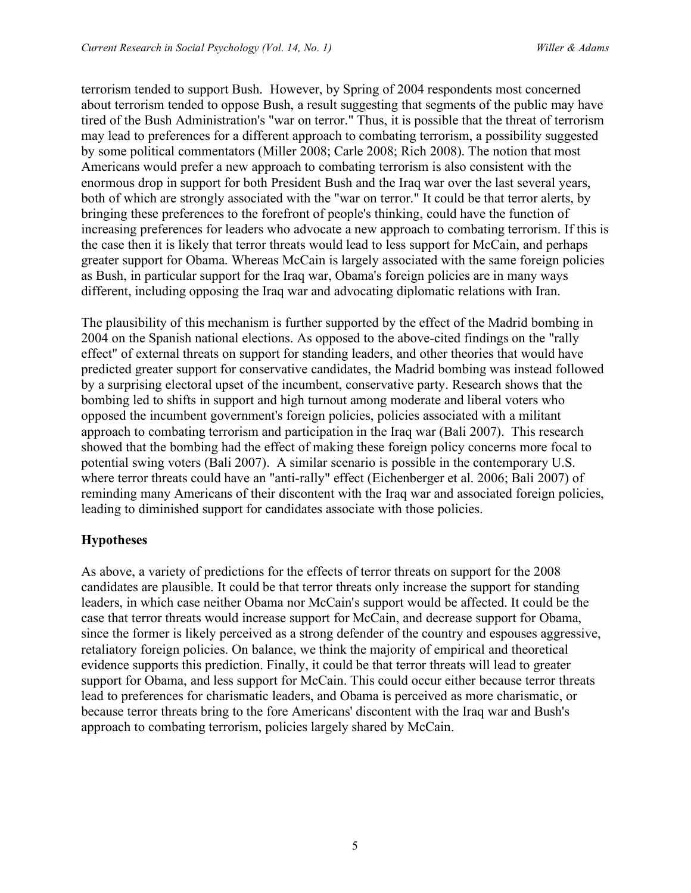terrorism tended to support Bush. However, by Spring of 2004 respondents most concerned about terrorism tended to oppose Bush, a result suggesting that segments of the public may have tired of the Bush Administration's "war on terror." Thus, it is possible that the threat of terrorism may lead to preferences for a different approach to combating terrorism, a possibility suggested by some political commentators (Miller 2008; Carle 2008; Rich 2008). The notion that most Americans would prefer a new approach to combating terrorism is also consistent with the enormous drop in support for both President Bush and the Iraq war over the last several years, both of which are strongly associated with the "war on terror." It could be that terror alerts, by bringing these preferences to the forefront of people's thinking, could have the function of increasing preferences for leaders who advocate a new approach to combating terrorism. If this is the case then it is likely that terror threats would lead to less support for McCain, and perhaps greater support for Obama. Whereas McCain is largely associated with the same foreign policies as Bush, in particular support for the Iraq war, Obama's foreign policies are in many ways different, including opposing the Iraq war and advocating diplomatic relations with Iran.

The plausibility of this mechanism is further supported by the effect of the Madrid bombing in 2004 on the Spanish national elections. As opposed to the above-cited findings on the "rally effect" of external threats on support for standing leaders, and other theories that would have predicted greater support for conservative candidates, the Madrid bombing was instead followed by a surprising electoral upset of the incumbent, conservative party. Research shows that the bombing led to shifts in support and high turnout among moderate and liberal voters who opposed the incumbent government's foreign policies, policies associated with a militant approach to combating terrorism and participation in the Iraq war (Bali 2007). This research showed that the bombing had the effect of making these foreign policy concerns more focal to potential swing voters (Bali 2007). A similar scenario is possible in the contemporary U.S. where terror threats could have an "anti-rally" effect (Eichenberger et al. 2006; Bali 2007) of reminding many Americans of their discontent with the Iraq war and associated foreign policies, leading to diminished support for candidates associate with those policies.

# **Hypotheses**

As above, a variety of predictions for the effects of terror threats on support for the 2008 candidates are plausible. It could be that terror threats only increase the support for standing leaders, in which case neither Obama nor McCain's support would be affected. It could be the case that terror threats would increase support for McCain, and decrease support for Obama, since the former is likely perceived as a strong defender of the country and espouses aggressive, retaliatory foreign policies. On balance, we think the majority of empirical and theoretical evidence supports this prediction. Finally, it could be that terror threats will lead to greater support for Obama, and less support for McCain. This could occur either because terror threats lead to preferences for charismatic leaders, and Obama is perceived as more charismatic, or because terror threats bring to the fore Americans' discontent with the Iraq war and Bush's approach to combating terrorism, policies largely shared by McCain.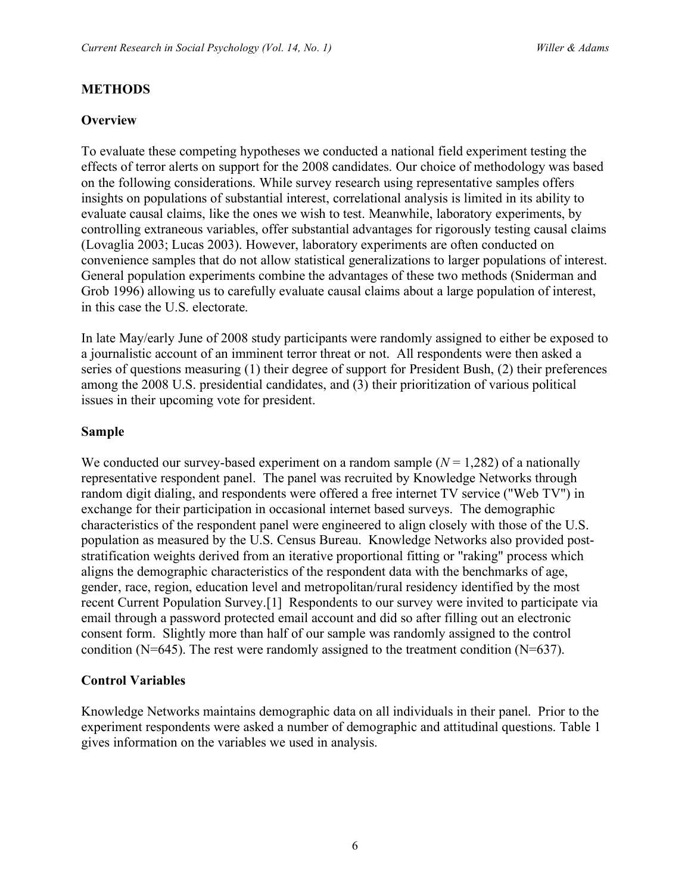# **METHODS**

# **Overview**

To evaluate these competing hypotheses we conducted a national field experiment testing the effects of terror alerts on support for the 2008 candidates. Our choice of methodology was based on the following considerations. While survey research using representative samples offers insights on populations of substantial interest, correlational analysis is limited in its ability to evaluate causal claims, like the ones we wish to test. Meanwhile, laboratory experiments, by controlling extraneous variables, offer substantial advantages for rigorously testing causal claims (Lovaglia 2003; Lucas 2003). However, laboratory experiments are often conducted on convenience samples that do not allow statistical generalizations to larger populations of interest. General population experiments combine the advantages of these two methods (Sniderman and Grob 1996) allowing us to carefully evaluate causal claims about a large population of interest, in this case the U.S. electorate.

In late May/early June of 2008 study participants were randomly assigned to either be exposed to a journalistic account of an imminent terror threat or not. All respondents were then asked a series of questions measuring (1) their degree of support for President Bush, (2) their preferences among the 2008 U.S. presidential candidates, and (3) their prioritization of various political issues in their upcoming vote for president.

#### **Sample**

We conducted our survey-based experiment on a random sample  $(N = 1,282)$  of a nationally representative respondent panel. The panel was recruited by Knowledge Networks through random digit dialing, and respondents were offered a free internet TV service ("Web TV") in exchange for their participation in occasional internet based surveys. The demographic characteristics of the respondent panel were engineered to align closely with those of the U.S. population as measured by the U.S. Census Bureau. Knowledge Networks also provided poststratification weights derived from an iterative proportional fitting or "raking" process which aligns the demographic characteristics of the respondent data with the benchmarks of age, gender, race, region, education level and metropolitan/rural residency identified by the most recent Current Population Survey.[1] Respondents to our survey were invited to participate via email through a password protected email account and did so after filling out an electronic consent form. Slightly more than half of our sample was randomly assigned to the control condition (N=645). The rest were randomly assigned to the treatment condition (N=637).

#### **Control Variables**

Knowledge Networks maintains demographic data on all individuals in their panel. Prior to the experiment respondents were asked a number of demographic and attitudinal questions. Table 1 gives information on the variables we used in analysis.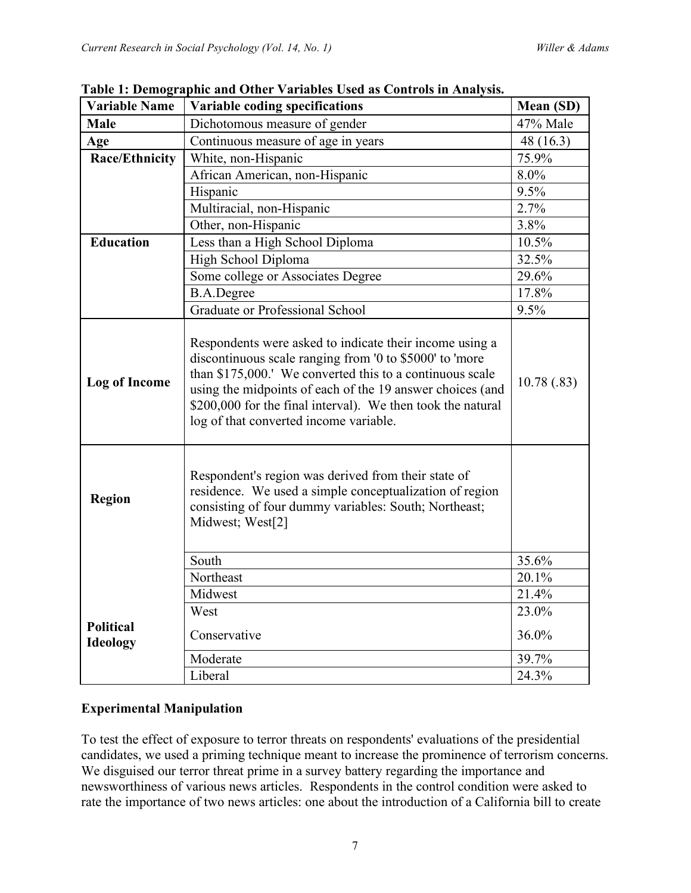| <b>Variable Name</b>                | Variable coding specifications                                                                                                                                                                                                                                                                                                                       | Mean (SD)  |
|-------------------------------------|------------------------------------------------------------------------------------------------------------------------------------------------------------------------------------------------------------------------------------------------------------------------------------------------------------------------------------------------------|------------|
| <b>Male</b>                         | Dichotomous measure of gender                                                                                                                                                                                                                                                                                                                        | 47% Male   |
| Age                                 | Continuous measure of age in years                                                                                                                                                                                                                                                                                                                   | 48 (16.3)  |
| <b>Race/Ethnicity</b>               | White, non-Hispanic                                                                                                                                                                                                                                                                                                                                  | 75.9%      |
|                                     | African American, non-Hispanic                                                                                                                                                                                                                                                                                                                       | 8.0%       |
|                                     | Hispanic                                                                                                                                                                                                                                                                                                                                             | 9.5%       |
|                                     | Multiracial, non-Hispanic                                                                                                                                                                                                                                                                                                                            | 2.7%       |
|                                     | Other, non-Hispanic                                                                                                                                                                                                                                                                                                                                  | 3.8%       |
| <b>Education</b>                    | Less than a High School Diploma                                                                                                                                                                                                                                                                                                                      | 10.5%      |
|                                     | High School Diploma                                                                                                                                                                                                                                                                                                                                  | 32.5%      |
|                                     | Some college or Associates Degree                                                                                                                                                                                                                                                                                                                    | 29.6%      |
|                                     | <b>B.A.Degree</b>                                                                                                                                                                                                                                                                                                                                    | 17.8%      |
|                                     | Graduate or Professional School                                                                                                                                                                                                                                                                                                                      | 9.5%       |
| <b>Log of Income</b>                | Respondents were asked to indicate their income using a<br>discontinuous scale ranging from '0 to \$5000' to 'more<br>than \$175,000.' We converted this to a continuous scale<br>using the midpoints of each of the 19 answer choices (and<br>\$200,000 for the final interval). We then took the natural<br>log of that converted income variable. | 10.78(.83) |
| <b>Region</b>                       | Respondent's region was derived from their state of<br>residence. We used a simple conceptualization of region<br>consisting of four dummy variables: South; Northeast;<br>Midwest; West[2]                                                                                                                                                          |            |
|                                     | South                                                                                                                                                                                                                                                                                                                                                | 35.6%      |
|                                     | Northeast                                                                                                                                                                                                                                                                                                                                            | 20.1%      |
|                                     | Midwest                                                                                                                                                                                                                                                                                                                                              | 21.4%      |
|                                     | West                                                                                                                                                                                                                                                                                                                                                 | 23.0%      |
| <b>Political</b><br><b>Ideology</b> | Conservative                                                                                                                                                                                                                                                                                                                                         | 36.0%      |
|                                     | Moderate                                                                                                                                                                                                                                                                                                                                             | 39.7%      |
|                                     | Liberal                                                                                                                                                                                                                                                                                                                                              | 24.3%      |

**Table 1: Demographic and Other Variables Used as Controls in Analysis.**

# **Experimental Manipulation**

To test the effect of exposure to terror threats on respondents' evaluations of the presidential candidates, we used a priming technique meant to increase the prominence of terrorism concerns. We disguised our terror threat prime in a survey battery regarding the importance and newsworthiness of various news articles. Respondents in the control condition were asked to rate the importance of two news articles: one about the introduction of a California bill to create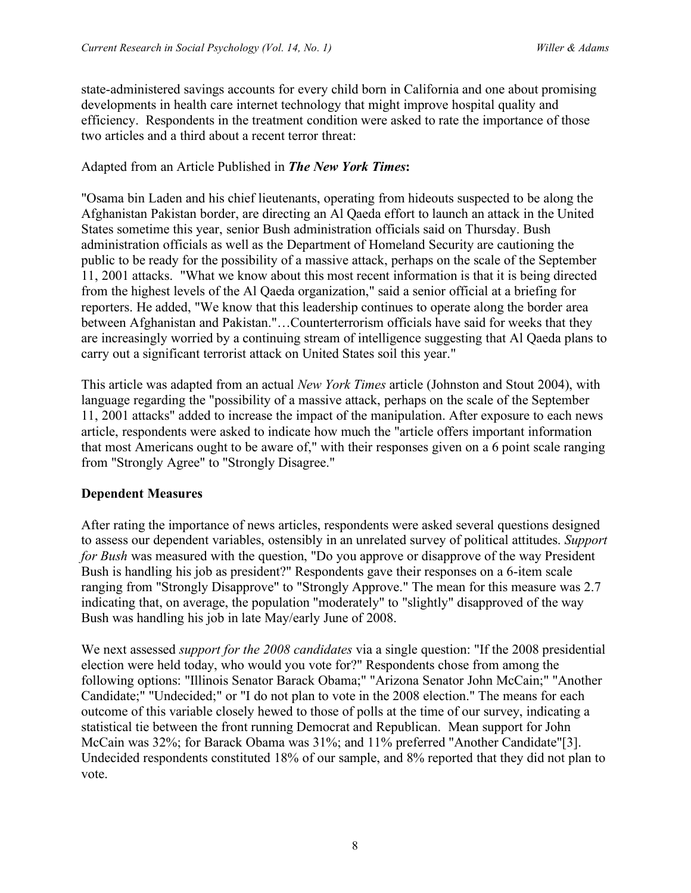state-administered savings accounts for every child born in California and one about promising developments in health care internet technology that might improve hospital quality and efficiency. Respondents in the treatment condition were asked to rate the importance of those two articles and a third about a recent terror threat:

#### Adapted from an Article Published in *The New York Times***:**

"Osama bin Laden and his chief lieutenants, operating from hideouts suspected to be along the Afghanistan Pakistan border, are directing an Al Qaeda effort to launch an attack in the United States sometime this year, senior Bush administration officials said on Thursday. Bush administration officials as well as the Department of Homeland Security are cautioning the public to be ready for the possibility of a massive attack, perhaps on the scale of the September 11, 2001 attacks. "What we know about this most recent information is that it is being directed from the highest levels of the Al Qaeda organization," said a senior official at a briefing for reporters. He added, "We know that this leadership continues to operate along the border area between Afghanistan and Pakistan."…Counterterrorism officials have said for weeks that they are increasingly worried by a continuing stream of intelligence suggesting that Al Qaeda plans to carry out a significant terrorist attack on United States soil this year."

This article was adapted from an actual *New York Times* article (Johnston and Stout 2004), with language regarding the "possibility of a massive attack, perhaps on the scale of the September 11, 2001 attacks" added to increase the impact of the manipulation. After exposure to each news article, respondents were asked to indicate how much the "article offers important information that most Americans ought to be aware of," with their responses given on a 6 point scale ranging from "Strongly Agree" to "Strongly Disagree."

#### **Dependent Measures**

After rating the importance of news articles, respondents were asked several questions designed to assess our dependent variables, ostensibly in an unrelated survey of political attitudes. *Support for Bush* was measured with the question, "Do you approve or disapprove of the way President Bush is handling his job as president?" Respondents gave their responses on a 6-item scale ranging from "Strongly Disapprove" to "Strongly Approve." The mean for this measure was 2.7 indicating that, on average, the population "moderately" to "slightly" disapproved of the way Bush was handling his job in late May/early June of 2008.

We next assessed *support for the 2008 candidates* via a single question: "If the 2008 presidential election were held today, who would you vote for?" Respondents chose from among the following options: "Illinois Senator Barack Obama;" "Arizona Senator John McCain;" "Another Candidate;" "Undecided;" or "I do not plan to vote in the 2008 election." The means for each outcome of this variable closely hewed to those of polls at the time of our survey, indicating a statistical tie between the front running Democrat and Republican. Mean support for John McCain was 32%; for Barack Obama was 31%; and 11% preferred "Another Candidate"[3]. Undecided respondents constituted 18% of our sample, and 8% reported that they did not plan to vote.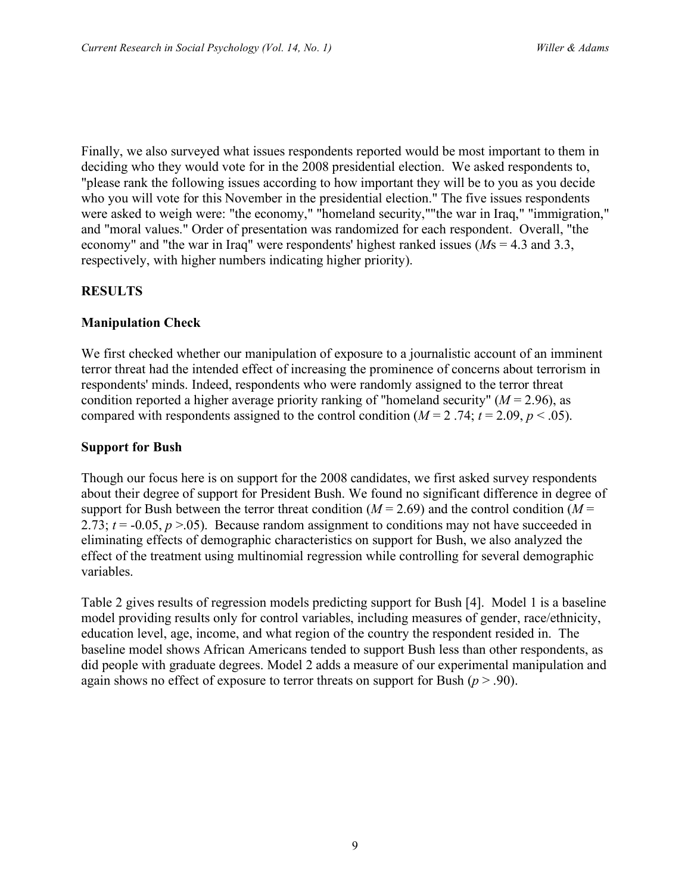Finally, we also surveyed what issues respondents reported would be most important to them in deciding who they would vote for in the 2008 presidential election. We asked respondents to, "please rank the following issues according to how important they will be to you as you decide who you will vote for this November in the presidential election." The five issues respondents were asked to weigh were: "the economy," "homeland security,""the war in Iraq," "immigration," and "moral values." Order of presentation was randomized for each respondent. Overall, "the economy" and "the war in Iraq" were respondents' highest ranked issues (*M*s = 4.3 and 3.3, respectively, with higher numbers indicating higher priority).

# **RESULTS**

#### **Manipulation Check**

We first checked whether our manipulation of exposure to a journalistic account of an imminent terror threat had the intended effect of increasing the prominence of concerns about terrorism in respondents' minds. Indeed, respondents who were randomly assigned to the terror threat condition reported a higher average priority ranking of "homeland security" (*M* = 2.96), as compared with respondents assigned to the control condition  $(M = 2.74; t = 2.09, p < .05)$ .

#### **Support for Bush**

Though our focus here is on support for the 2008 candidates, we first asked survey respondents about their degree of support for President Bush. We found no significant difference in degree of support for Bush between the terror threat condition ( $M = 2.69$ ) and the control condition ( $M =$ 2.73;  $t = -0.05$ ,  $p > 0.05$ ). Because random assignment to conditions may not have succeeded in eliminating effects of demographic characteristics on support for Bush, we also analyzed the effect of the treatment using multinomial regression while controlling for several demographic variables.

Table 2 gives results of regression models predicting support for Bush [4]. Model 1 is a baseline model providing results only for control variables, including measures of gender, race/ethnicity, education level, age, income, and what region of the country the respondent resided in. The baseline model shows African Americans tended to support Bush less than other respondents, as did people with graduate degrees. Model 2 adds a measure of our experimental manipulation and again shows no effect of exposure to terror threats on support for Bush (*p* > .90).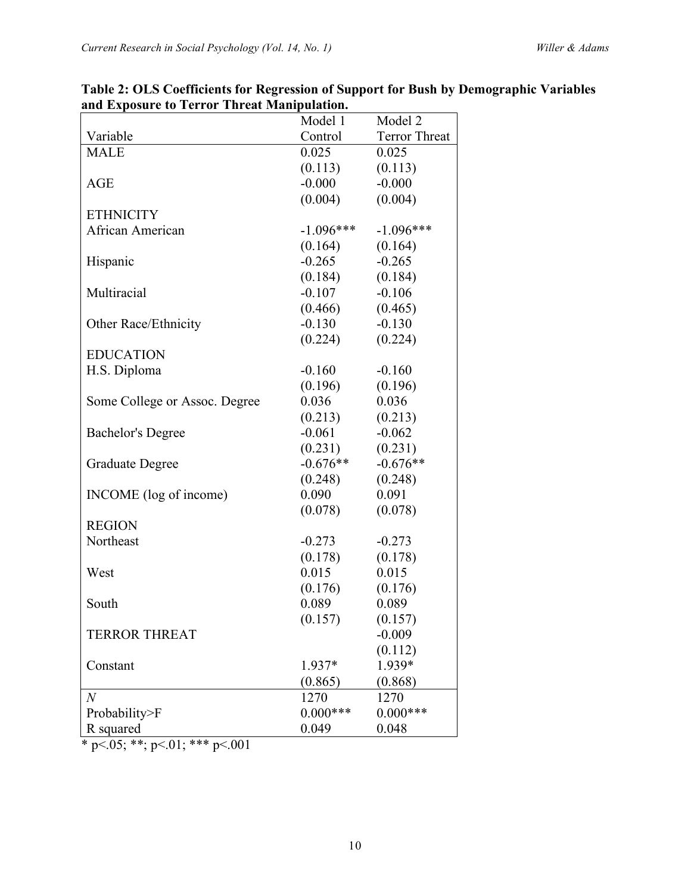|                               | Model 1     | Model 2              |
|-------------------------------|-------------|----------------------|
| Variable                      | Control     | <b>Terror Threat</b> |
| <b>MALE</b>                   | 0.025       | 0.025                |
|                               | (0.113)     | (0.113)              |
| <b>AGE</b>                    | $-0.000$    | $-0.000$             |
|                               | (0.004)     | (0.004)              |
| <b>ETHNICITY</b>              |             |                      |
| African American              | $-1.096***$ | $-1.096***$          |
|                               | (0.164)     | (0.164)              |
| Hispanic                      | $-0.265$    | $-0.265$             |
|                               | (0.184)     | (0.184)              |
| Multiracial                   | $-0.107$    | $-0.106$             |
|                               | (0.466)     | (0.465)              |
| Other Race/Ethnicity          | $-0.130$    | $-0.130$             |
|                               | (0.224)     | (0.224)              |
| <b>EDUCATION</b>              |             |                      |
| H.S. Diploma                  | $-0.160$    | $-0.160$             |
|                               | (0.196)     | (0.196)              |
| Some College or Assoc. Degree | 0.036       | 0.036                |
|                               | (0.213)     | (0.213)              |
| <b>Bachelor's Degree</b>      | $-0.061$    | $-0.062$             |
|                               | (0.231)     | (0.231)              |
| Graduate Degree               | $-0.676**$  | $-0.676**$           |
|                               | (0.248)     | (0.248)              |
| INCOME (log of income)        | 0.090       | 0.091                |
|                               | (0.078)     | (0.078)              |
| <b>REGION</b>                 |             |                      |
| Northeast                     | $-0.273$    | $-0.273$             |
|                               | (0.178)     | (0.178)              |
| West                          | 0.015       | 0.015                |
|                               | (0.176)     | (0.176)              |
| South                         | 0.089       | 0.089                |
|                               | (0.157)     | (0.157)              |
| <b>TERROR THREAT</b>          |             | $-0.009$             |
|                               |             | (0.112)              |
| Constant                      | 1.937*      | 1.939*               |
|                               | (0.865)     | (0.868)              |
| $\,N$                         | 1270        | 1270                 |
| Probability>F                 | $0.000***$  | $0.000***$           |
| R squared                     | 0.049       | 0.048                |

**Table 2: OLS Coefficients for Regression of Support for Bush by Demographic Variables and Exposure to Terror Threat Manipulation.**

 $*$  p<.05; \*\*; p<.01; \*\*\* p<.001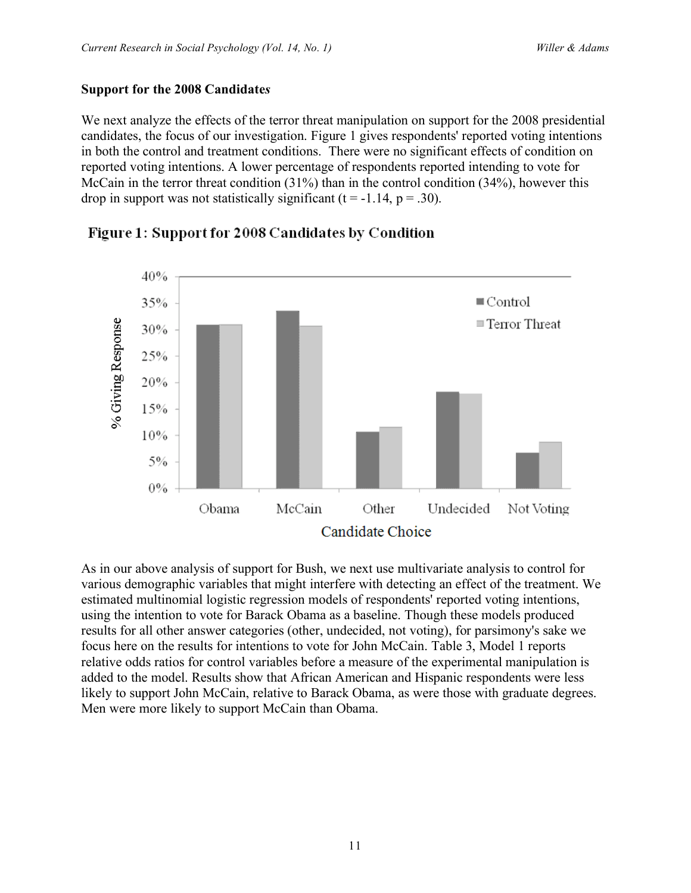# **Support for the 2008 Candidate***s*

We next analyze the effects of the terror threat manipulation on support for the 2008 presidential candidates, the focus of our investigation. Figure 1 gives respondents' reported voting intentions in both the control and treatment conditions. There were no significant effects of condition on reported voting intentions. A lower percentage of respondents reported intending to vote for McCain in the terror threat condition (31%) than in the control condition (34%), however this drop in support was not statistically significant  $(t = -1.14, p = .30)$ .



# Figure 1: Support for 2008 Candidates by Condition

As in our above analysis of support for Bush, we next use multivariate analysis to control for various demographic variables that might interfere with detecting an effect of the treatment. We estimated multinomial logistic regression models of respondents' reported voting intentions, using the intention to vote for Barack Obama as a baseline. Though these models produced results for all other answer categories (other, undecided, not voting), for parsimony's sake we focus here on the results for intentions to vote for John McCain. Table 3, Model 1 reports relative odds ratios for control variables before a measure of the experimental manipulation is added to the model. Results show that African American and Hispanic respondents were less likely to support John McCain, relative to Barack Obama, as were those with graduate degrees. Men were more likely to support McCain than Obama.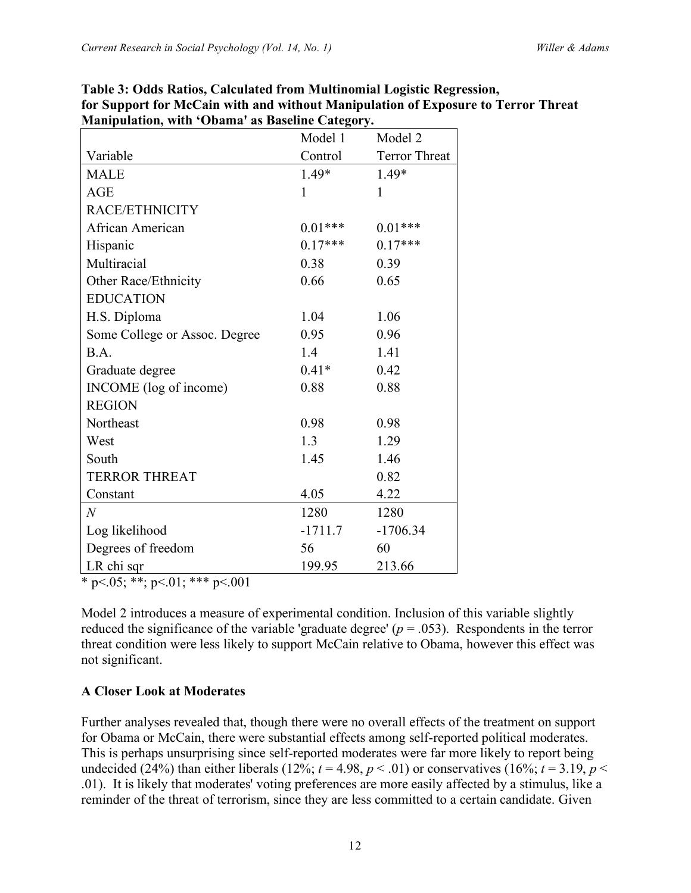|                               | Model 1   | Model 2              |  |
|-------------------------------|-----------|----------------------|--|
| Variable                      | Control   | <b>Terror Threat</b> |  |
| <b>MALE</b>                   | 1.49*     | 1.49*                |  |
| <b>AGE</b>                    | 1         | 1                    |  |
| RACE/ETHNICITY                |           |                      |  |
| African American              | $0.01***$ | $0.01***$            |  |
| Hispanic                      | $0.17***$ | $0.17***$            |  |
| Multiracial                   | 0.38      | 0.39                 |  |
| Other Race/Ethnicity          | 0.66      | 0.65                 |  |
| <b>EDUCATION</b>              |           |                      |  |
| H.S. Diploma                  | 1.04      | 1.06                 |  |
| Some College or Assoc. Degree | 0.95      | 0.96                 |  |
| B.A.                          | 1.4       | 1.41                 |  |
| Graduate degree               | $0.41*$   | 0.42                 |  |
| INCOME (log of income)        | 0.88      | 0.88                 |  |
| <b>REGION</b>                 |           |                      |  |
| Northeast                     | 0.98      | 0.98                 |  |
| West                          | 1.3       | 1.29                 |  |
| South                         | 1.45      | 1.46                 |  |
| <b>TERROR THREAT</b>          |           | 0.82                 |  |
| Constant                      | 4.05      | 4.22                 |  |
| $\overline{N}$                | 1280      | 1280                 |  |
| Log likelihood                | $-1711.7$ | $-1706.34$           |  |
| Degrees of freedom            | 56        | 60                   |  |
| LR chi sqr                    | 199.95    | 213.66               |  |

**Table 3: Odds Ratios, Calculated from Multinomial Logistic Regression, for Support for McCain with and without Manipulation of Exposure to Terror Threat Manipulation, with 'Obama' as Baseline Category.**

 $*$  p<.05; \*\*; p<.01; \*\*\* p<.001

Model 2 introduces a measure of experimental condition. Inclusion of this variable slightly reduced the significance of the variable 'graduate degree'  $(p = .053)$ . Respondents in the terror threat condition were less likely to support McCain relative to Obama, however this effect was not significant.

# **A Closer Look at Moderates**

Further analyses revealed that, though there were no overall effects of the treatment on support for Obama or McCain, there were substantial effects among self-reported political moderates. This is perhaps unsurprising since self-reported moderates were far more likely to report being undecided (24%) than either liberals (12%;  $t = 4.98$ ,  $p < .01$ ) or conservatives (16%;  $t = 3.19$ ,  $p <$ .01). It is likely that moderates' voting preferences are more easily affected by a stimulus, like a reminder of the threat of terrorism, since they are less committed to a certain candidate. Given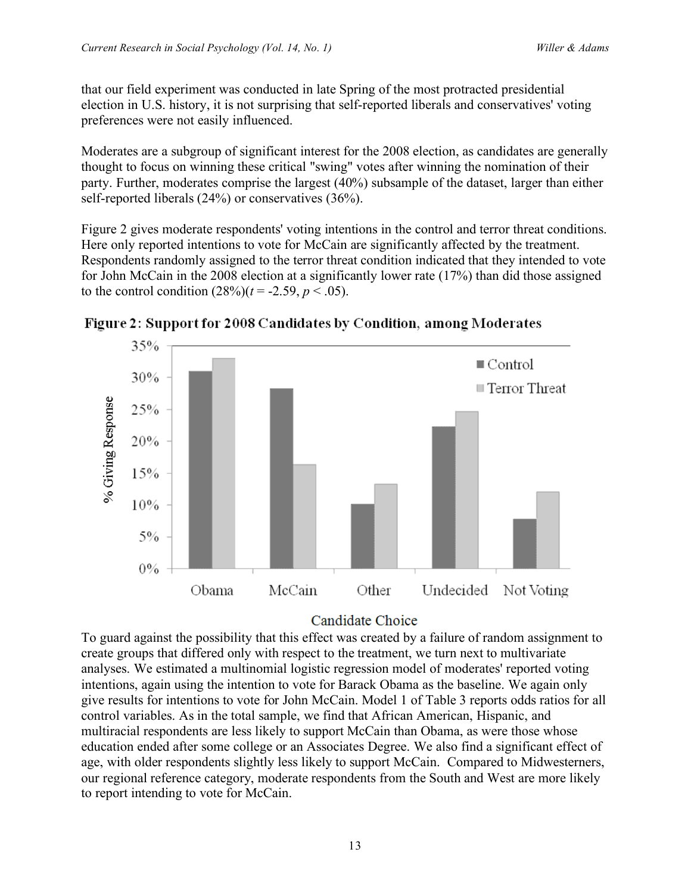that our field experiment was conducted in late Spring of the most protracted presidential election in U.S. history, it is not surprising that self-reported liberals and conservatives' voting preferences were not easily influenced.

Moderates are a subgroup of significant interest for the 2008 election, as candidates are generally thought to focus on winning these critical "swing" votes after winning the nomination of their party. Further, moderates comprise the largest (40%) subsample of the dataset, larger than either self-reported liberals (24%) or conservatives (36%).

Figure 2 gives moderate respondents' voting intentions in the control and terror threat conditions. Here only reported intentions to vote for McCain are significantly affected by the treatment. Respondents randomly assigned to the terror threat condition indicated that they intended to vote for John McCain in the 2008 election at a significantly lower rate (17%) than did those assigned to the control condition  $(28\%)$  ( $t = -2.59$ ,  $p < .05$ ).



Figure 2: Support for 2008 Candidates by Condition, among Moderates

# Candidate Choice

To guard against the possibility that this effect was created by a failure of random assignment to create groups that differed only with respect to the treatment, we turn next to multivariate analyses. We estimated a multinomial logistic regression model of moderates' reported voting intentions, again using the intention to vote for Barack Obama as the baseline. We again only give results for intentions to vote for John McCain. Model 1 of Table 3 reports odds ratios for all control variables. As in the total sample, we find that African American, Hispanic, and multiracial respondents are less likely to support McCain than Obama, as were those whose education ended after some college or an Associates Degree. We also find a significant effect of age, with older respondents slightly less likely to support McCain. Compared to Midwesterners, our regional reference category, moderate respondents from the South and West are more likely to report intending to vote for McCain.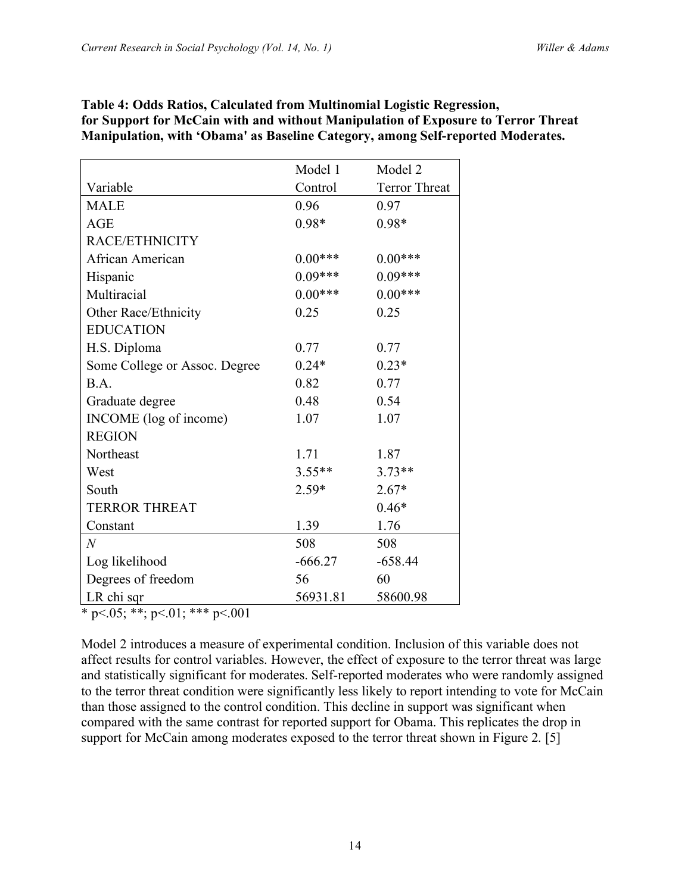|                                   | Model 1   | Model 2              |  |  |
|-----------------------------------|-----------|----------------------|--|--|
| Variable                          | Control   | <b>Terror Threat</b> |  |  |
| <b>MALE</b>                       | 0.96      | 0.97                 |  |  |
| <b>AGE</b>                        | $0.98*$   | $0.98*$              |  |  |
| RACE/ETHNICITY                    |           |                      |  |  |
| African American                  | $0.00***$ | $0.00***$            |  |  |
| Hispanic                          | $0.09***$ | $0.09***$            |  |  |
| Multiracial                       | $0.00***$ | $0.00***$            |  |  |
| Other Race/Ethnicity              | 0.25      | 0.25                 |  |  |
| <b>EDUCATION</b>                  |           |                      |  |  |
| H.S. Diploma                      | 0.77      | 0.77                 |  |  |
| Some College or Assoc. Degree     | $0.24*$   | $0.23*$              |  |  |
| B.A.                              | 0.82      | 0.77                 |  |  |
| Graduate degree                   | 0.48      | 0.54                 |  |  |
| INCOME (log of income)            | 1.07      | 1.07                 |  |  |
| <b>REGION</b>                     |           |                      |  |  |
| Northeast                         | 1.71      | 1.87                 |  |  |
| West                              | $3.55**$  | $3.73**$             |  |  |
| South                             | $2.59*$   | $2.67*$              |  |  |
| <b>TERROR THREAT</b>              |           | $0.46*$              |  |  |
| Constant                          | 1.39      | 1.76                 |  |  |
| $\overline{N}$                    | 508       | 508                  |  |  |
| Log likelihood                    | $-666.27$ | $-658.44$            |  |  |
| Degrees of freedom                | 56        | 60                   |  |  |
| LR chi sqr                        | 56931.81  | 58600.98             |  |  |
| * p < 05; **; p < 01; *** p < 001 |           |                      |  |  |

# **Table 4: Odds Ratios, Calculated from Multinomial Logistic Regression, for Support for McCain with and without Manipulation of Exposure to Terror Threat Manipulation, with 'Obama' as Baseline Category, among Self-reported Moderates.**

Model 2 introduces a measure of experimental condition. Inclusion of this variable does not affect results for control variables. However, the effect of exposure to the terror threat was large and statistically significant for moderates. Self-reported moderates who were randomly assigned to the terror threat condition were significantly less likely to report intending to vote for McCain than those assigned to the control condition. This decline in support was significant when compared with the same contrast for reported support for Obama. This replicates the drop in support for McCain among moderates exposed to the terror threat shown in Figure 2. [5]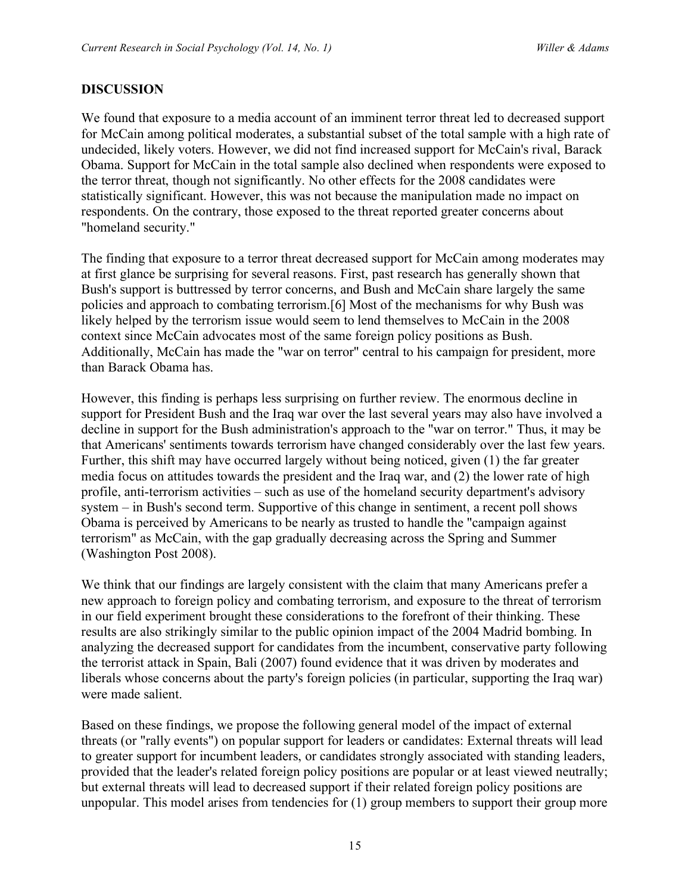# **DISCUSSION**

We found that exposure to a media account of an imminent terror threat led to decreased support for McCain among political moderates, a substantial subset of the total sample with a high rate of undecided, likely voters. However, we did not find increased support for McCain's rival, Barack Obama. Support for McCain in the total sample also declined when respondents were exposed to the terror threat, though not significantly. No other effects for the 2008 candidates were statistically significant. However, this was not because the manipulation made no impact on respondents. On the contrary, those exposed to the threat reported greater concerns about "homeland security."

The finding that exposure to a terror threat decreased support for McCain among moderates may at first glance be surprising for several reasons. First, past research has generally shown that Bush's support is buttressed by terror concerns, and Bush and McCain share largely the same policies and approach to combating terrorism.[6] Most of the mechanisms for why Bush was likely helped by the terrorism issue would seem to lend themselves to McCain in the 2008 context since McCain advocates most of the same foreign policy positions as Bush. Additionally, McCain has made the "war on terror" central to his campaign for president, more than Barack Obama has.

However, this finding is perhaps less surprising on further review. The enormous decline in support for President Bush and the Iraq war over the last several years may also have involved a decline in support for the Bush administration's approach to the "war on terror." Thus, it may be that Americans' sentiments towards terrorism have changed considerably over the last few years. Further, this shift may have occurred largely without being noticed, given (1) the far greater media focus on attitudes towards the president and the Iraq war, and (2) the lower rate of high profile, anti-terrorism activities – such as use of the homeland security department's advisory system – in Bush's second term. Supportive of this change in sentiment, a recent poll shows Obama is perceived by Americans to be nearly as trusted to handle the "campaign against terrorism" as McCain, with the gap gradually decreasing across the Spring and Summer (Washington Post 2008).

We think that our findings are largely consistent with the claim that many Americans prefer a new approach to foreign policy and combating terrorism, and exposure to the threat of terrorism in our field experiment brought these considerations to the forefront of their thinking. These results are also strikingly similar to the public opinion impact of the 2004 Madrid bombing. In analyzing the decreased support for candidates from the incumbent, conservative party following the terrorist attack in Spain, Bali (2007) found evidence that it was driven by moderates and liberals whose concerns about the party's foreign policies (in particular, supporting the Iraq war) were made salient.

Based on these findings, we propose the following general model of the impact of external threats (or "rally events") on popular support for leaders or candidates: External threats will lead to greater support for incumbent leaders, or candidates strongly associated with standing leaders, provided that the leader's related foreign policy positions are popular or at least viewed neutrally; but external threats will lead to decreased support if their related foreign policy positions are unpopular. This model arises from tendencies for (1) group members to support their group more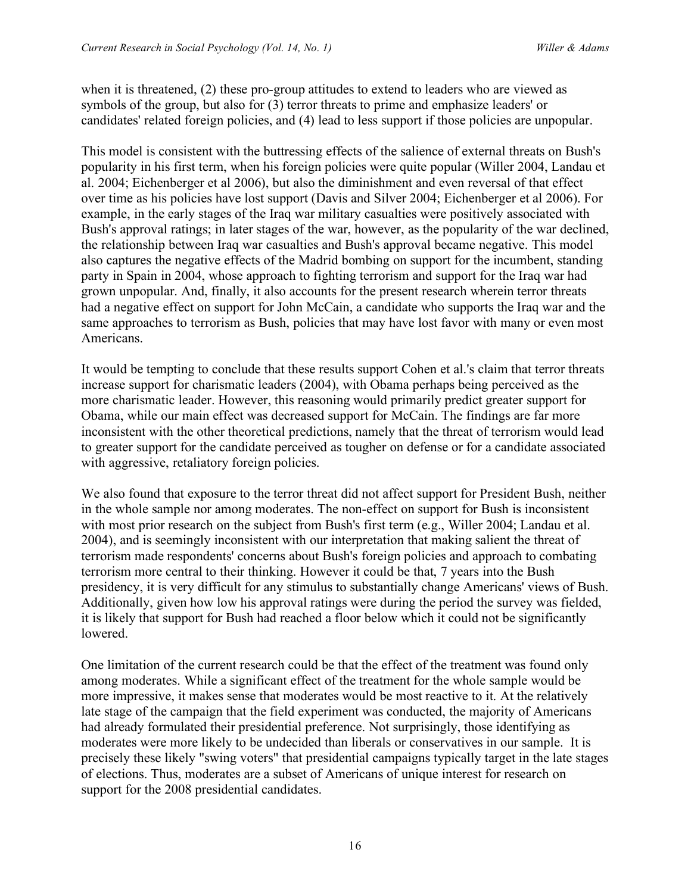when it is threatened, (2) these pro-group attitudes to extend to leaders who are viewed as symbols of the group, but also for (3) terror threats to prime and emphasize leaders' or candidates' related foreign policies, and (4) lead to less support if those policies are unpopular.

This model is consistent with the buttressing effects of the salience of external threats on Bush's popularity in his first term, when his foreign policies were quite popular (Willer 2004, Landau et al. 2004; Eichenberger et al 2006), but also the diminishment and even reversal of that effect over time as his policies have lost support (Davis and Silver 2004; Eichenberger et al 2006). For example, in the early stages of the Iraq war military casualties were positively associated with Bush's approval ratings; in later stages of the war, however, as the popularity of the war declined, the relationship between Iraq war casualties and Bush's approval became negative. This model also captures the negative effects of the Madrid bombing on support for the incumbent, standing party in Spain in 2004, whose approach to fighting terrorism and support for the Iraq war had grown unpopular. And, finally, it also accounts for the present research wherein terror threats had a negative effect on support for John McCain, a candidate who supports the Iraq war and the same approaches to terrorism as Bush, policies that may have lost favor with many or even most Americans.

It would be tempting to conclude that these results support Cohen et al.'s claim that terror threats increase support for charismatic leaders (2004), with Obama perhaps being perceived as the more charismatic leader. However, this reasoning would primarily predict greater support for Obama, while our main effect was decreased support for McCain. The findings are far more inconsistent with the other theoretical predictions, namely that the threat of terrorism would lead to greater support for the candidate perceived as tougher on defense or for a candidate associated with aggressive, retaliatory foreign policies.

We also found that exposure to the terror threat did not affect support for President Bush, neither in the whole sample nor among moderates. The non-effect on support for Bush is inconsistent with most prior research on the subject from Bush's first term (e.g., Willer 2004; Landau et al. 2004), and is seemingly inconsistent with our interpretation that making salient the threat of terrorism made respondents' concerns about Bush's foreign policies and approach to combating terrorism more central to their thinking. However it could be that, 7 years into the Bush presidency, it is very difficult for any stimulus to substantially change Americans' views of Bush. Additionally, given how low his approval ratings were during the period the survey was fielded, it is likely that support for Bush had reached a floor below which it could not be significantly lowered.

One limitation of the current research could be that the effect of the treatment was found only among moderates. While a significant effect of the treatment for the whole sample would be more impressive, it makes sense that moderates would be most reactive to it. At the relatively late stage of the campaign that the field experiment was conducted, the majority of Americans had already formulated their presidential preference. Not surprisingly, those identifying as moderates were more likely to be undecided than liberals or conservatives in our sample. It is precisely these likely "swing voters" that presidential campaigns typically target in the late stages of elections. Thus, moderates are a subset of Americans of unique interest for research on support for the 2008 presidential candidates.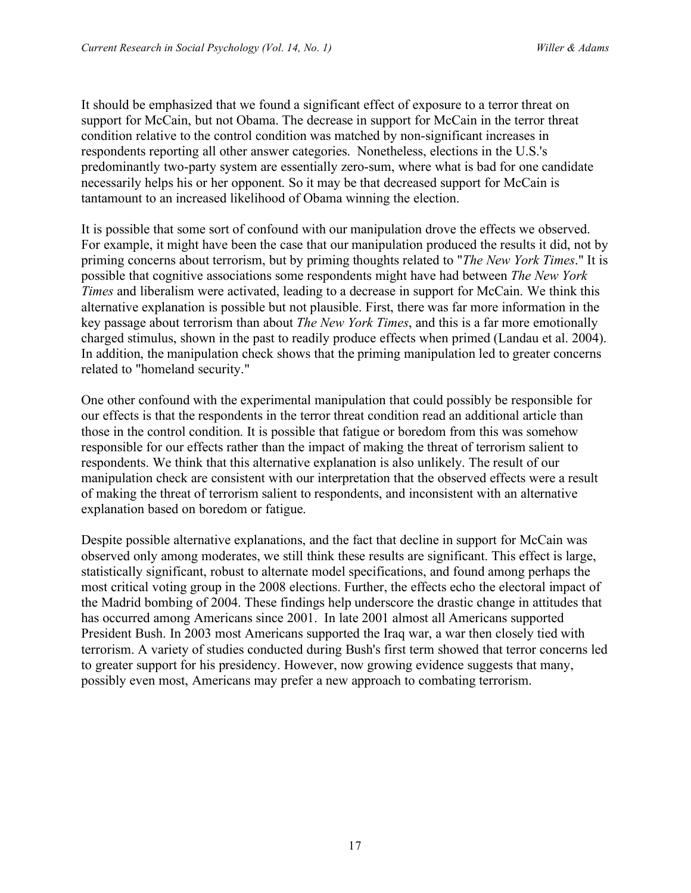It should be emphasized that we found a significant effect of exposure to a terror threat on support for McCain, but not Obama. The decrease in support for McCain in the terror threat condition relative to the control condition was matched by non-significant increases in respondents reporting all other answer categories. Nonetheless, elections in the U.S.'s predominantly two-party system are essentially zero-sum, where what is bad for one candidate necessarily helps his or her opponent. So it may be that decreased support for McCain is tantamount to an increased likelihood of Obama winning the election.

It is possible that some sort of confound with our manipulation drove the effects we observed. For example, it might have been the case that our manipulation produced the results it did, not by priming concerns about terrorism, but by priming thoughts related to "*The New York Times*." It is possible that cognitive associations some respondents might have had between *The New York Times* and liberalism were activated, leading to a decrease in support for McCain. We think this alternative explanation is possible but not plausible. First, there was far more information in the key passage about terrorism than about *The New York Times*, and this is a far more emotionally charged stimulus, shown in the past to readily produce effects when primed (Landau et al. 2004). In addition, the manipulation check shows that the priming manipulation led to greater concerns related to "homeland security."

One other confound with the experimental manipulation that could possibly be responsible for our effects is that the respondents in the terror threat condition read an additional article than those in the control condition. It is possible that fatigue or boredom from this was somehow responsible for our effects rather than the impact of making the threat of terrorism salient to respondents. We think that this alternative explanation is also unlikely. The result of our manipulation check are consistent with our interpretation that the observed effects were a result of making the threat of terrorism salient to respondents, and inconsistent with an alternative explanation based on boredom or fatigue.

Despite possible alternative explanations, and the fact that decline in support for McCain was observed only among moderates, we still think these results are significant. This effect is large, statistically significant, robust to alternate model specifications, and found among perhaps the most critical voting group in the 2008 elections. Further, the effects echo the electoral impact of the Madrid bombing of 2004. These findings help underscore the drastic change in attitudes that has occurred among Americans since 2001. In late 2001 almost all Americans supported President Bush. In 2003 most Americans supported the Iraq war, a war then closely tied with terrorism. A variety of studies conducted during Bush's first term showed that terror concerns led to greater support for his presidency. However, now growing evidence suggests that many, possibly even most, Americans may prefer a new approach to combating terrorism.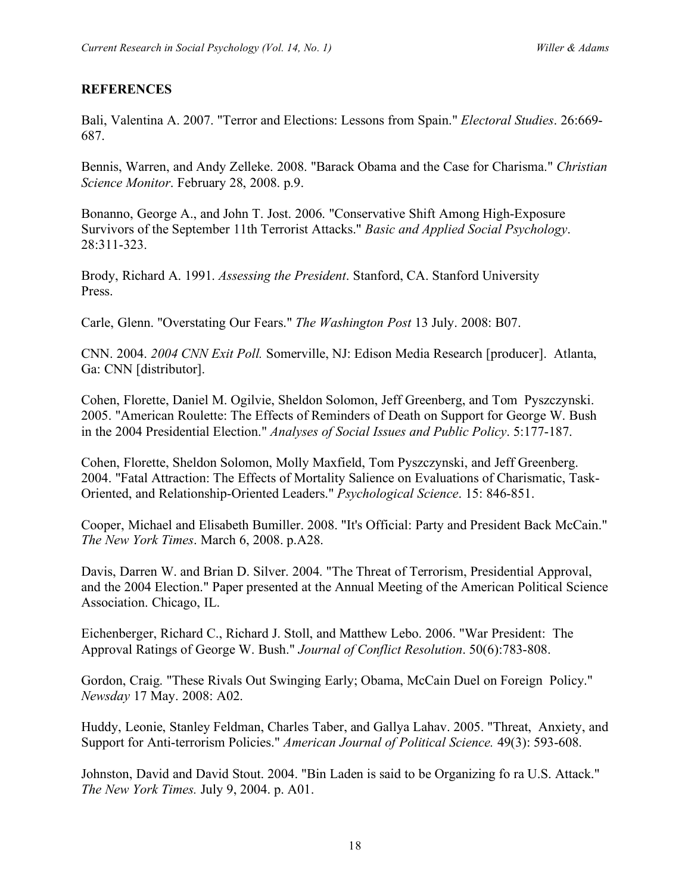# **REFERENCES**

Bali, Valentina A. 2007. "Terror and Elections: Lessons from Spain." *Electoral Studies*. 26:669- 687.

Bennis, Warren, and Andy Zelleke. 2008. "Barack Obama and the Case for Charisma." *Christian Science Monitor*. February 28, 2008. p.9.

Bonanno, George A., and John T. Jost. 2006. "Conservative Shift Among High-Exposure Survivors of the September 11th Terrorist Attacks." *Basic and Applied Social Psychology*. 28:311-323.

Brody, Richard A. 1991. *Assessing the President*. Stanford, CA. Stanford University Press.

Carle, Glenn. "Overstating Our Fears." *The Washington Post* 13 July. 2008: B07.

CNN. 2004. *2004 CNN Exit Poll.* Somerville, NJ: Edison Media Research [producer]. Atlanta, Ga: CNN [distributor].

Cohen, Florette, Daniel M. Ogilvie, Sheldon Solomon, Jeff Greenberg, and Tom Pyszczynski. 2005. "American Roulette: The Effects of Reminders of Death on Support for George W. Bush in the 2004 Presidential Election." *Analyses of Social Issues and Public Policy*. 5:177-187.

Cohen, Florette, Sheldon Solomon, Molly Maxfield, Tom Pyszczynski, and Jeff Greenberg. 2004. "Fatal Attraction: The Effects of Mortality Salience on Evaluations of Charismatic, Task-Oriented, and Relationship-Oriented Leaders." *Psychological Science*. 15: 846-851.

Cooper, Michael and Elisabeth Bumiller. 2008. "It's Official: Party and President Back McCain." *The New York Times*. March 6, 2008. p.A28.

Davis, Darren W. and Brian D. Silver. 2004. "The Threat of Terrorism, Presidential Approval, and the 2004 Election." Paper presented at the Annual Meeting of the American Political Science Association. Chicago, IL.

Eichenberger, Richard C., Richard J. Stoll, and Matthew Lebo. 2006. "War President: The Approval Ratings of George W. Bush." *Journal of Conflict Resolution*. 50(6):783-808.

Gordon, Craig. "These Rivals Out Swinging Early; Obama, McCain Duel on Foreign Policy." *Newsday* 17 May. 2008: A02.

Huddy, Leonie, Stanley Feldman, Charles Taber, and Gallya Lahav. 2005. "Threat, Anxiety, and Support for Anti-terrorism Policies." *American Journal of Political Science.* 49(3): 593-608.

Johnston, David and David Stout. 2004. "Bin Laden is said to be Organizing fo ra U.S. Attack." *The New York Times.* July 9, 2004. p. A01.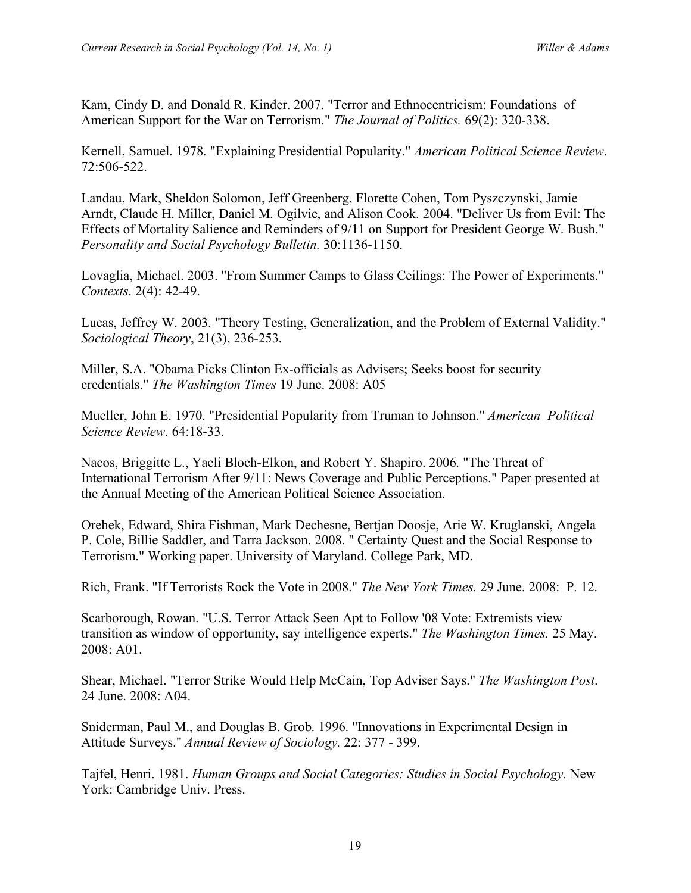Kam, Cindy D. and Donald R. Kinder. 2007. "Terror and Ethnocentricism: Foundations of American Support for the War on Terrorism." *The Journal of Politics.* 69(2): 320-338.

Kernell, Samuel. 1978. "Explaining Presidential Popularity." *American Political Science Review*. 72:506-522.

Landau, Mark, Sheldon Solomon, Jeff Greenberg, Florette Cohen, Tom Pyszczynski, Jamie Arndt, Claude H. Miller, Daniel M. Ogilvie, and Alison Cook. 2004. "Deliver Us from Evil: The Effects of Mortality Salience and Reminders of 9/11 on Support for President George W. Bush." *Personality and Social Psychology Bulletin.* 30:1136-1150.

Lovaglia, Michael. 2003. "From Summer Camps to Glass Ceilings: The Power of Experiments." *Contexts*. 2(4): 42-49.

Lucas, Jeffrey W. 2003. "Theory Testing, Generalization, and the Problem of External Validity." *Sociological Theory*, 21(3), 236-253.

Miller, S.A. "Obama Picks Clinton Ex-officials as Advisers; Seeks boost for security credentials." *The Washington Times* 19 June. 2008: A05

Mueller, John E. 1970. "Presidential Popularity from Truman to Johnson." *American Political Science Review*. 64:18-33.

Nacos, Briggitte L., Yaeli Bloch-Elkon, and Robert Y. Shapiro. 2006. "The Threat of International Terrorism After 9/11: News Coverage and Public Perceptions." Paper presented at the Annual Meeting of the American Political Science Association.

Orehek, Edward, Shira Fishman, Mark Dechesne, Bertjan Doosje, Arie W. Kruglanski, Angela P. Cole, Billie Saddler, and Tarra Jackson. 2008. " Certainty Quest and the Social Response to Terrorism." Working paper. University of Maryland. College Park, MD.

Rich, Frank. "If Terrorists Rock the Vote in 2008." *The New York Times.* 29 June. 2008: P. 12.

Scarborough, Rowan. "U.S. Terror Attack Seen Apt to Follow '08 Vote: Extremists view transition as window of opportunity, say intelligence experts." *The Washington Times.* 25 May. 2008: A01.

Shear, Michael. "Terror Strike Would Help McCain, Top Adviser Says." *The Washington Post*. 24 June. 2008: A04.

Sniderman, Paul M., and Douglas B. Grob. 1996. "Innovations in Experimental Design in Attitude Surveys." *Annual Review of Sociology.* 22: 377 - 399.

Tajfel, Henri. 1981. *Human Groups and Social Categories: Studies in Social Psychology.* New York: Cambridge Univ. Press.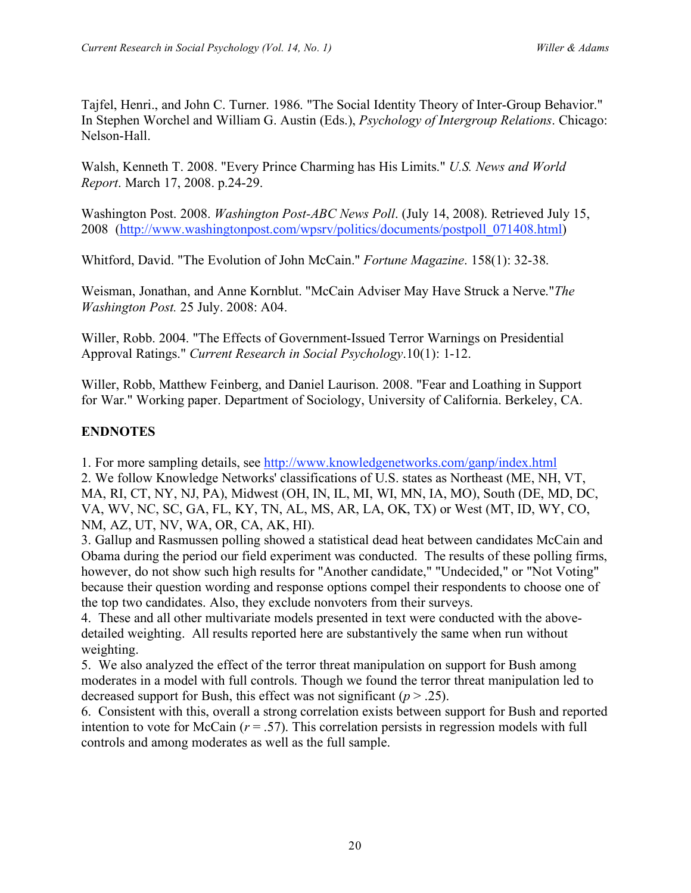Tajfel, Henri., and John C. Turner. 1986. "The Social Identity Theory of Inter-Group Behavior." In Stephen Worchel and William G. Austin (Eds.), *Psychology of Intergroup Relations*. Chicago: Nelson-Hall.

Walsh, Kenneth T. 2008. "Every Prince Charming has His Limits." *U.S. News and World Report*. March 17, 2008. p.24-29.

Washington Post. 2008. *Washington Post-ABC News Poll*. (July 14, 2008). Retrieved July 15, 2008 (http://www.washingtonpost.com/wpsrv/politics/documents/postpoll\_071408.html)

Whitford, David. "The Evolution of John McCain." *Fortune Magazine*. 158(1): 32-38.

Weisman, Jonathan, and Anne Kornblut. "McCain Adviser May Have Struck a Nerve."*The Washington Post.* 25 July. 2008: A04.

Willer, Robb. 2004. "The Effects of Government-Issued Terror Warnings on Presidential Approval Ratings." *Current Research in Social Psychology*.10(1): 1-12.

Willer, Robb, Matthew Feinberg, and Daniel Laurison. 2008. "Fear and Loathing in Support for War." Working paper. Department of Sociology, University of California. Berkeley, CA.

# **ENDNOTES**

1. For more sampling details, see http://www.knowledgenetworks.com/ganp/index.html

2. We follow Knowledge Networks' classifications of U.S. states as Northeast (ME, NH, VT, MA, RI, CT, NY, NJ, PA), Midwest (OH, IN, IL, MI, WI, MN, IA, MO), South (DE, MD, DC, VA, WV, NC, SC, GA, FL, KY, TN, AL, MS, AR, LA, OK, TX) or West (MT, ID, WY, CO, NM, AZ, UT, NV, WA, OR, CA, AK, HI).

3. Gallup and Rasmussen polling showed a statistical dead heat between candidates McCain and Obama during the period our field experiment was conducted. The results of these polling firms, however, do not show such high results for "Another candidate," "Undecided," or "Not Voting" because their question wording and response options compel their respondents to choose one of the top two candidates. Also, they exclude nonvoters from their surveys.

4. These and all other multivariate models presented in text were conducted with the abovedetailed weighting. All results reported here are substantively the same when run without weighting.

5. We also analyzed the effect of the terror threat manipulation on support for Bush among moderates in a model with full controls. Though we found the terror threat manipulation led to decreased support for Bush, this effect was not significant  $(p > .25)$ .

6. Consistent with this, overall a strong correlation exists between support for Bush and reported intention to vote for McCain  $(r = .57)$ . This correlation persists in regression models with full controls and among moderates as well as the full sample.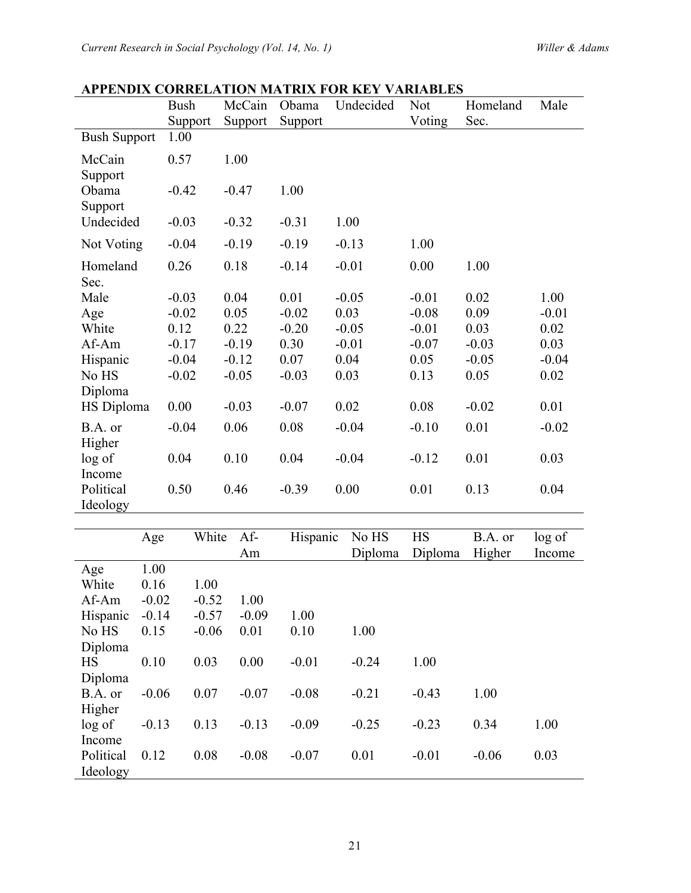|                             | <b>Bush</b> | McCain    | Obama    | Undecided        | Not                  | Homeland          | Male             |
|-----------------------------|-------------|-----------|----------|------------------|----------------------|-------------------|------------------|
|                             | Support     | Support   | Support  |                  | Voting               | Sec.              |                  |
| <b>Bush Support</b>         | 1.00        |           |          |                  |                      |                   |                  |
| McCain<br>Support           | 0.57        | 1.00      |          |                  |                      |                   |                  |
| Obama<br>Support            | $-0.42$     | $-0.47$   | 1.00     |                  |                      |                   |                  |
| Undecided                   | $-0.03$     | $-0.32$   | $-0.31$  | 1.00             |                      |                   |                  |
| Not Voting                  | $-0.04$     | $-0.19$   | $-0.19$  | $-0.13$          | 1.00                 |                   |                  |
| Homeland<br>Sec.            | 0.26        | 0.18      | $-0.14$  | $-0.01$          | 0.00                 | 1.00              |                  |
| Male                        | $-0.03$     | 0.04      | 0.01     | $-0.05$          | $-0.01$              | 0.02              | 1.00             |
| Age                         | $-0.02$     | 0.05      | $-0.02$  | 0.03             | $-0.08$              | 0.09              | $-0.01$          |
| White                       | 0.12        | 0.22      | $-0.20$  | $-0.05$          | $-0.01$              | 0.03              | 0.02             |
| Af-Am                       | $-0.17$     | $-0.19$   | 0.30     | $-0.01$          | $-0.07$              | $-0.03$           | 0.03             |
| Hispanic                    | $-0.04$     | $-0.12$   | 0.07     | 0.04             | 0.05                 | $-0.05$           | $-0.04$          |
| No HS                       | $-0.02$     | $-0.05$   | $-0.03$  | 0.03             | 0.13                 | 0.05              | 0.02             |
| Diploma                     |             |           |          |                  |                      |                   |                  |
| HS Diploma                  | 0.00        | $-0.03$   | $-0.07$  | 0.02             | 0.08                 | $-0.02$           | 0.01             |
| B.A. or                     | $-0.04$     | 0.06      | 0.08     | $-0.04$          | $-0.10$              | 0.01              | $-0.02$          |
| Higher<br>log of            | 0.04        | 0.10      | 0.04     | $-0.04$          | $-0.12$              | 0.01              | 0.03             |
| Income                      |             |           |          |                  |                      |                   |                  |
| Political                   | 0.50        | 0.46      | $-0.39$  | 0.00             | 0.01                 | 0.13              | 0.04             |
| Ideology                    |             |           |          |                  |                      |                   |                  |
|                             |             |           |          |                  |                      |                   |                  |
| Age                         | White       | Af-<br>Am | Hispanic | No HS<br>Diploma | <b>HS</b><br>Diploma | B.A. or<br>Higher | log of<br>Income |
| 1.00<br>Age                 |             |           |          |                  |                      |                   |                  |
| White<br>0.16               | 1.00        |           |          |                  |                      |                   |                  |
| Af-Am<br>$-0.02$            | $-0.52$     | 1.00      |          |                  |                      |                   |                  |
| $-0.14$<br>Hispanic         | $-0.57$     | $-0.09$   | 1.00     |                  |                      |                   |                  |
| No HS<br>0.15               | $-0.06$     | 0.01      | 0.10     | 1.00             |                      |                   |                  |
| Diploma                     |             |           |          |                  |                      |                   |                  |
| 0.10<br><b>HS</b>           | 0.03        | 0.00      | $-0.01$  | $-0.24$          | 1.00                 |                   |                  |
| Diploma                     |             |           |          |                  |                      |                   |                  |
| $-0.06$<br>B.A. or          | 0.07        | $-0.07$   | $-0.08$  | $-0.21$          | $-0.43$              | 1.00              |                  |
| Higher                      |             |           |          |                  |                      |                   |                  |
| log of<br>$-0.13$           | 0.13        | $-0.13$   | $-0.09$  | $-0.25$          | $-0.23$              | 0.34              | 1.00             |
| Income<br>Political<br>0.12 | 0.08        | $-0.08$   | $-0.07$  | 0.01             | $-0.01$              | $-0.06$           | 0.03             |
| Ideology                    |             |           |          |                  |                      |                   |                  |

# **APPENDIX CORRELATION MATRIX FOR KEY VARIABLES**